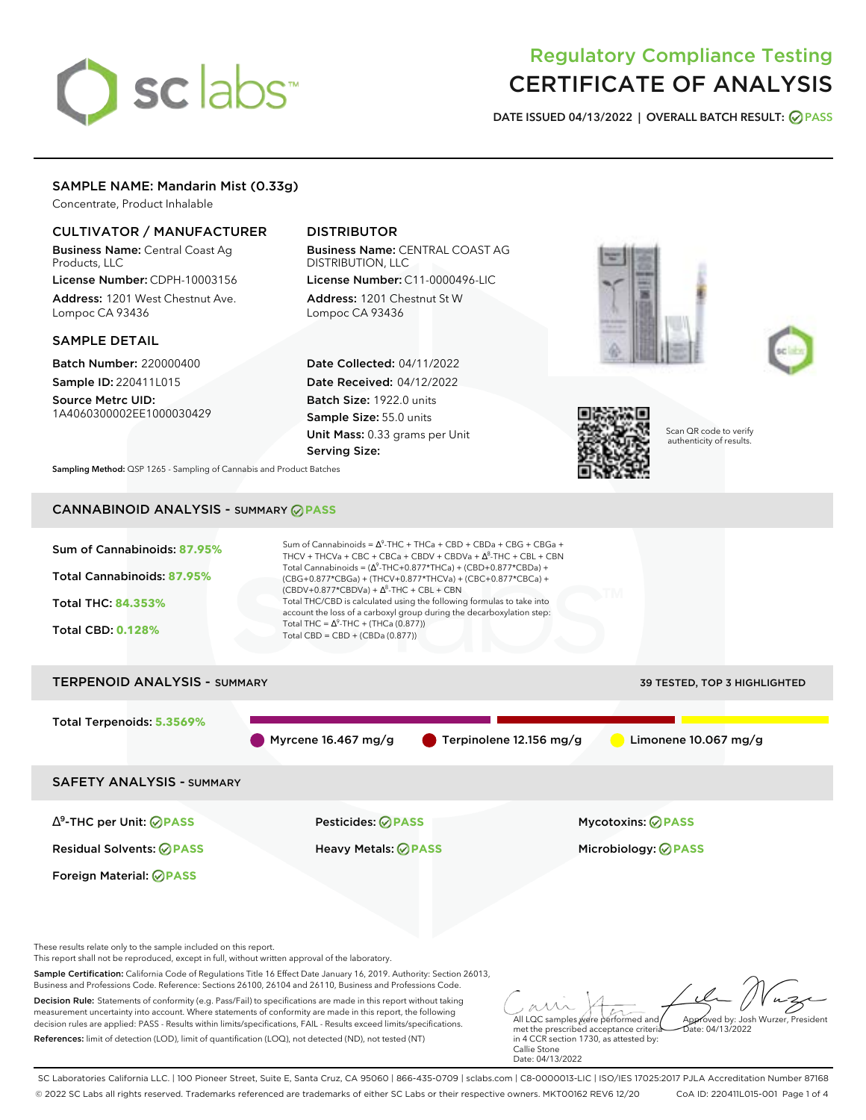# sclabs<sup>\*</sup>

# Regulatory Compliance Testing CERTIFICATE OF ANALYSIS

**DATE ISSUED 04/13/2022 | OVERALL BATCH RESULT: PASS**

# SAMPLE NAME: Mandarin Mist (0.33g)

Concentrate, Product Inhalable

# CULTIVATOR / MANUFACTURER

Business Name: Central Coast Ag Products, LLC

License Number: CDPH-10003156 Address: 1201 West Chestnut Ave. Lompoc CA 93436

# SAMPLE DETAIL

Batch Number: 220000400 Sample ID: 220411L015

Source Metrc UID: 1A4060300002EE1000030429

# DISTRIBUTOR

Business Name: CENTRAL COAST AG DISTRIBUTION, LLC License Number: C11-0000496-LIC

Address: 1201 Chestnut St W Lompoc CA 93436

Date Collected: 04/11/2022 Date Received: 04/12/2022 Batch Size: 1922.0 units Sample Size: 55.0 units Unit Mass: 0.33 grams per Unit Serving Size:







Scan QR code to verify authenticity of results.

**Sampling Method:** QSP 1265 - Sampling of Cannabis and Product Batches

# CANNABINOID ANALYSIS - SUMMARY **PASS**



References: limit of detection (LOD), limit of quantification (LOQ), not detected (ND), not tested (NT)

met the prescribed acceptance criteria in 4 CCR section 1730, as attested by: Callie Stone Date: 04/13/2022

SC Laboratories California LLC. | 100 Pioneer Street, Suite E, Santa Cruz, CA 95060 | 866-435-0709 | sclabs.com | C8-0000013-LIC | ISO/IES 17025:2017 PJLA Accreditation Number 87168 © 2022 SC Labs all rights reserved. Trademarks referenced are trademarks of either SC Labs or their respective owners. MKT00162 REV6 12/20 CoA ID: 220411L015-001 Page 1 of 4